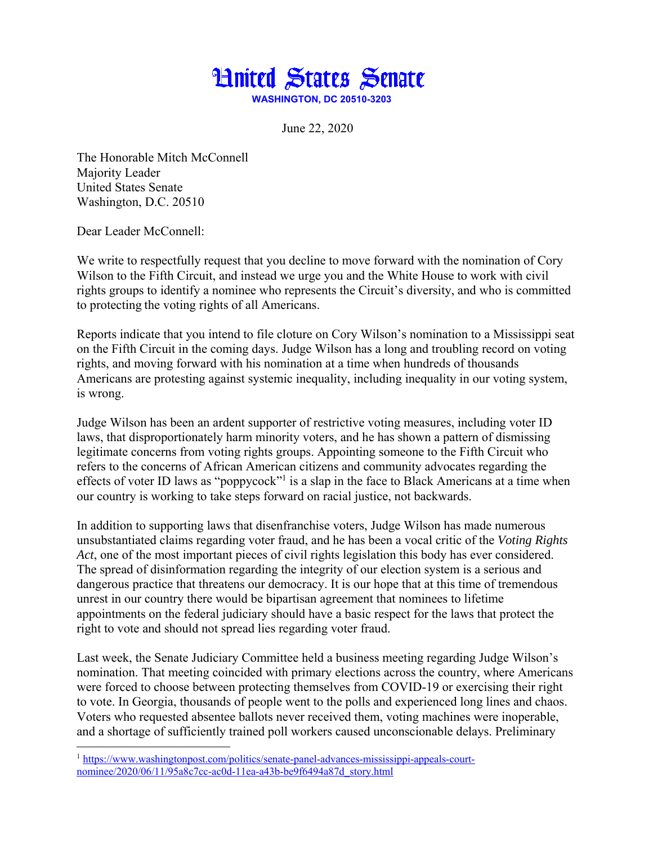

June 22, 2020

The Honorable Mitch McConnell Majority Leader United States Senate Washington, D.C. 20510

Dear Leader McConnell:

We write to respectfully request that you decline to move forward with the nomination of Cory Wilson to the Fifth Circuit, and instead we urge you and the White House to work with civil rights groups to identify a nominee who represents the Circuit's diversity, and who is committed to protecting the voting rights of all Americans.

Reports indicate that you intend to file cloture on Cory Wilson's nomination to a Mississippi seat on the Fifth Circuit in the coming days. Judge Wilson has a long and troubling record on voting rights, and moving forward with his nomination at a time when hundreds of thousands Americans are protesting against systemic inequality, including inequality in our voting system, is wrong.

Judge Wilson has been an ardent supporter of restrictive voting measures, including voter ID laws, that disproportionately harm minority voters, and he has shown a pattern of dismissing legitimate concerns from voting rights groups. Appointing someone to the Fifth Circuit who refers to the concerns of African American citizens and community advocates regarding the effects of voter ID laws as "poppycock"<sup>1</sup> is a slap in the face to Black Americans at a time when our country is working to take steps forward on racial justice, not backwards.

In addition to supporting laws that disenfranchise voters, Judge Wilson has made numerous unsubstantiated claims regarding voter fraud, and he has been a vocal critic of the *Voting Rights Act*, one of the most important pieces of civil rights legislation this body has ever considered. The spread of disinformation regarding the integrity of our election system is a serious and dangerous practice that threatens our democracy. It is our hope that at this time of tremendous unrest in our country there would be bipartisan agreement that nominees to lifetime appointments on the federal judiciary should have a basic respect for the laws that protect the right to vote and should not spread lies regarding voter fraud.

Last week, the Senate Judiciary Committee held a business meeting regarding Judge Wilson's nomination. That meeting coincided with primary elections across the country, where Americans were forced to choose between protecting themselves from COVID-19 or exercising their right to vote. In Georgia, thousands of people went to the polls and experienced long lines and chaos. Voters who requested absentee ballots never received them, voting machines were inoperable, and a shortage of sufficiently trained poll workers caused unconscionable delays. Preliminary

<sup>&</sup>lt;sup>1</sup> https://www.washingtonpost.com/politics/senate-panel-advances-mississippi-appeals-courtnominee/2020/06/11/95a8c7cc-ac0d-11ea-a43b-be9f6494a87d\_story.html